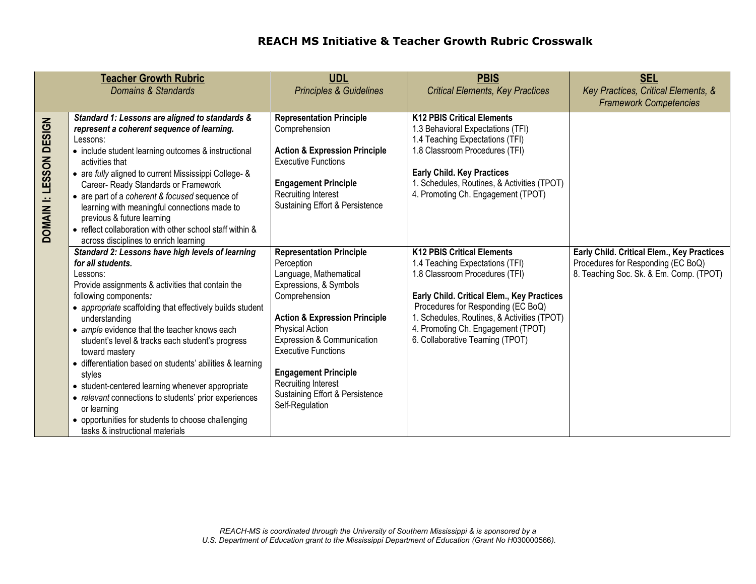| <b>Teacher Growth Rubric</b><br>Domains & Standards |                                                                                                                                                                                                                                                                                                                                                                                                                                                                                                                                                                                                             | <b>UDL</b><br><b>Principles &amp; Guidelines</b>                                                                                                                                                                                                                                                                              | <b>PBIS</b><br><b>Critical Elements, Key Practices</b>                                                                                                                                                                                                                                                     | <b>SEL</b><br>Key Practices, Critical Elements, &<br><b>Framework Competencies</b> |
|-----------------------------------------------------|-------------------------------------------------------------------------------------------------------------------------------------------------------------------------------------------------------------------------------------------------------------------------------------------------------------------------------------------------------------------------------------------------------------------------------------------------------------------------------------------------------------------------------------------------------------------------------------------------------------|-------------------------------------------------------------------------------------------------------------------------------------------------------------------------------------------------------------------------------------------------------------------------------------------------------------------------------|------------------------------------------------------------------------------------------------------------------------------------------------------------------------------------------------------------------------------------------------------------------------------------------------------------|------------------------------------------------------------------------------------|
| DOMAIN I: LESSON DESIGN                             | Standard 1: Lessons are aligned to standards &<br>represent a coherent sequence of learning.<br>Lessons:<br>• include student learning outcomes & instructional<br>activities that<br>• are fully aligned to current Mississippi College- &<br>Career- Ready Standards or Framework<br>• are part of a coherent & focused sequence of<br>learning with meaningful connections made to<br>previous & future learning<br>• reflect collaboration with other school staff within &<br>across disciplines to enrich learning<br>Standard 2: Lessons have high levels of learning                                | <b>Representation Principle</b><br>Comprehension<br><b>Action &amp; Expression Principle</b><br><b>Executive Functions</b><br><b>Engagement Principle</b><br><b>Recruiting Interest</b><br>Sustaining Effort & Persistence<br><b>Representation Principle</b>                                                                 | <b>K12 PBIS Critical Elements</b><br>1.3 Behavioral Expectations (TFI)<br>1.4 Teaching Expectations (TFI)<br>1.8 Classroom Procedures (TFI)<br><b>Early Child. Key Practices</b><br>1. Schedules, Routines, & Activities (TPOT)<br>4. Promoting Ch. Engagement (TPOT)<br><b>K12 PBIS Critical Elements</b> | Early Child. Critical Elem., Key Practices                                         |
|                                                     | for all students.<br>Lessons:<br>Provide assignments & activities that contain the<br>following components:<br>• appropriate scaffolding that effectively builds student<br>understanding<br>• ample evidence that the teacher knows each<br>student's level & tracks each student's progress<br>toward mastery<br>• differentiation based on students' abilities & learning<br>styles<br>• student-centered learning whenever appropriate<br>• relevant connections to students' prior experiences<br>or learning<br>• opportunities for students to choose challenging<br>tasks & instructional materials | Perception<br>Language, Mathematical<br>Expressions, & Symbols<br>Comprehension<br><b>Action &amp; Expression Principle</b><br>Physical Action<br>Expression & Communication<br><b>Executive Functions</b><br><b>Engagement Principle</b><br><b>Recruiting Interest</b><br>Sustaining Effort & Persistence<br>Self-Regulation | 1.4 Teaching Expectations (TFI)<br>1.8 Classroom Procedures (TFI)<br>Early Child. Critical Elem., Key Practices<br>Procedures for Responding (EC BoQ)<br>1. Schedules, Routines, & Activities (TPOT)<br>4. Promoting Ch. Engagement (TPOT)<br>6. Collaborative Teaming (TPOT)                              | Procedures for Responding (EC BoQ)<br>8. Teaching Soc. Sk. & Em. Comp. (TPOT)      |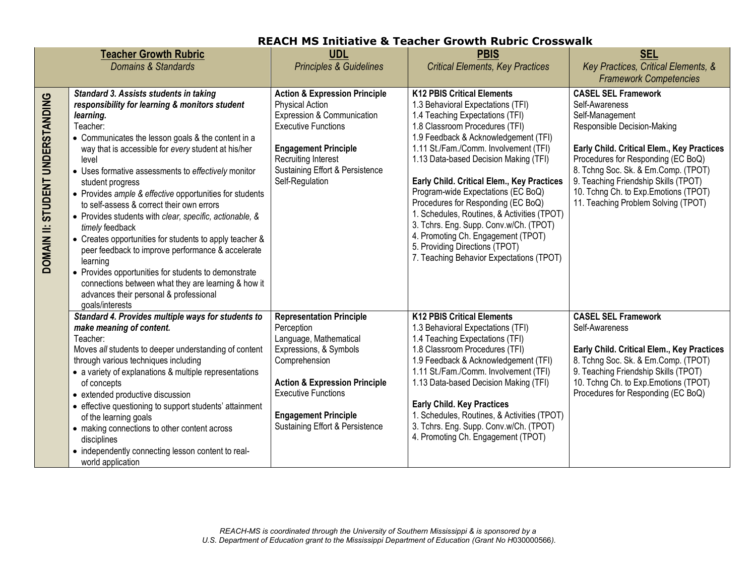|                                  | <b>Teacher Growth Rubric</b><br>Domains & Standards                                                                                                                                                                                                                                                                                                                                                                                                                                                                                                                                                                                                                                                                                                                                                              | <b>UDL</b><br><b>Principles &amp; Guidelines</b>                                                                                                                                                                                                               | <b>PBIS</b><br><b>Critical Elements, Key Practices</b>                                                                                                                                                                                                                                                                                                                                                                                                                                                                                                                                                       | <b>SEL</b><br>Key Practices, Critical Elements, &<br><b>Framework Competencies</b>                                                                                                                                                                                                                                                                |
|----------------------------------|------------------------------------------------------------------------------------------------------------------------------------------------------------------------------------------------------------------------------------------------------------------------------------------------------------------------------------------------------------------------------------------------------------------------------------------------------------------------------------------------------------------------------------------------------------------------------------------------------------------------------------------------------------------------------------------------------------------------------------------------------------------------------------------------------------------|----------------------------------------------------------------------------------------------------------------------------------------------------------------------------------------------------------------------------------------------------------------|--------------------------------------------------------------------------------------------------------------------------------------------------------------------------------------------------------------------------------------------------------------------------------------------------------------------------------------------------------------------------------------------------------------------------------------------------------------------------------------------------------------------------------------------------------------------------------------------------------------|---------------------------------------------------------------------------------------------------------------------------------------------------------------------------------------------------------------------------------------------------------------------------------------------------------------------------------------------------|
| DOMAIN II: STUDENT UNDERSTANDING | Standard 3. Assists students in taking<br>responsibility for learning & monitors student<br>learning.<br>Teacher:<br>• Communicates the lesson goals & the content in a<br>way that is accessible for every student at his/her<br>level<br>• Uses formative assessments to effectively monitor<br>student progress<br>• Provides ample & effective opportunities for students<br>to self-assess & correct their own errors<br>• Provides students with clear, specific, actionable, &<br>timely feedback<br>• Creates opportunities for students to apply teacher &<br>peer feedback to improve performance & accelerate<br>learning<br>• Provides opportunities for students to demonstrate<br>connections between what they are learning & how it<br>advances their personal & professional<br>goals/interests | <b>Action &amp; Expression Principle</b><br><b>Physical Action</b><br>Expression & Communication<br><b>Executive Functions</b><br><b>Engagement Principle</b><br><b>Recruiting Interest</b><br>Sustaining Effort & Persistence<br>Self-Regulation              | <b>K12 PBIS Critical Elements</b><br>1.3 Behavioral Expectations (TFI)<br>1.4 Teaching Expectations (TFI)<br>1.8 Classroom Procedures (TFI)<br>1.9 Feedback & Acknowledgement (TFI)<br>1.11 St./Fam./Comm. Involvement (TFI)<br>1.13 Data-based Decision Making (TFI)<br>Early Child. Critical Elem., Key Practices<br>Program-wide Expectations (EC BoQ)<br>Procedures for Responding (EC BoQ)<br>1. Schedules, Routines, & Activities (TPOT)<br>3. Tchrs. Eng. Supp. Conv.w/Ch. (TPOT)<br>4. Promoting Ch. Engagement (TPOT)<br>5. Providing Directions (TPOT)<br>7. Teaching Behavior Expectations (TPOT) | <b>CASEL SEL Framework</b><br>Self-Awareness<br>Self-Management<br>Responsible Decision-Making<br>Early Child. Critical Elem., Key Practices<br>Procedures for Responding (EC BoQ)<br>8. Tchng Soc. Sk. & Em.Comp. (TPOT)<br>9. Teaching Friendship Skills (TPOT)<br>10. Tchng Ch. to Exp. Emotions (TPOT)<br>11. Teaching Problem Solving (TPOT) |
|                                  | Standard 4. Provides multiple ways for students to<br>make meaning of content.<br>Teacher:<br>Moves all students to deeper understanding of content<br>through various techniques including<br>• a variety of explanations & multiple representations<br>of concepts<br>• extended productive discussion<br>• effective questioning to support students' attainment<br>of the learning goals<br>• making connections to other content across<br>disciplines<br>• independently connecting lesson content to real-<br>world application                                                                                                                                                                                                                                                                           | <b>Representation Principle</b><br>Perception<br>Language, Mathematical<br>Expressions, & Symbols<br>Comprehension<br><b>Action &amp; Expression Principle</b><br><b>Executive Functions</b><br><b>Engagement Principle</b><br>Sustaining Effort & Persistence | <b>K12 PBIS Critical Elements</b><br>1.3 Behavioral Expectations (TFI)<br>1.4 Teaching Expectations (TFI)<br>1.8 Classroom Procedures (TFI)<br>1.9 Feedback & Acknowledgement (TFI)<br>1.11 St./Fam./Comm. Involvement (TFI)<br>1.13 Data-based Decision Making (TFI)<br><b>Early Child. Key Practices</b><br>1. Schedules, Routines, & Activities (TPOT)<br>3. Tchrs. Eng. Supp. Conv.w/Ch. (TPOT)<br>4. Promoting Ch. Engagement (TPOT)                                                                                                                                                                    | <b>CASEL SEL Framework</b><br>Self-Awareness<br>Early Child. Critical Elem., Key Practices<br>8. Tchng Soc. Sk. & Em.Comp. (TPOT)<br>9. Teaching Friendship Skills (TPOT)<br>10. Tchng Ch. to Exp. Emotions (TPOT)<br>Procedures for Responding (EC BoQ)                                                                                          |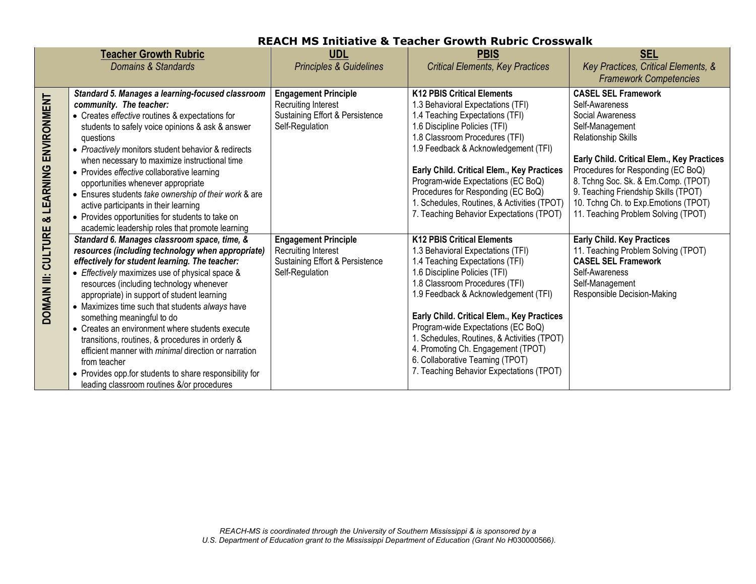|                                               | <b>Teacher Growth Rubric</b>                                                                                                                                                                                                                                                                                                                                                                                                                                                                                                                                                                                                                                                      | <b>UDL</b>                                                                                                      | <b>PBIS</b>                                                                                                                                                                                                                                                                                                                                                                                                                                                                  | <b>SEL</b>                                                                                                                                                                                                                                                                                                                                                    |
|-----------------------------------------------|-----------------------------------------------------------------------------------------------------------------------------------------------------------------------------------------------------------------------------------------------------------------------------------------------------------------------------------------------------------------------------------------------------------------------------------------------------------------------------------------------------------------------------------------------------------------------------------------------------------------------------------------------------------------------------------|-----------------------------------------------------------------------------------------------------------------|------------------------------------------------------------------------------------------------------------------------------------------------------------------------------------------------------------------------------------------------------------------------------------------------------------------------------------------------------------------------------------------------------------------------------------------------------------------------------|---------------------------------------------------------------------------------------------------------------------------------------------------------------------------------------------------------------------------------------------------------------------------------------------------------------------------------------------------------------|
|                                               | Domains & Standards                                                                                                                                                                                                                                                                                                                                                                                                                                                                                                                                                                                                                                                               | <b>Principles &amp; Guidelines</b>                                                                              | <b>Critical Elements, Key Practices</b>                                                                                                                                                                                                                                                                                                                                                                                                                                      | Key Practices, Critical Elements, &<br><b>Framework Competencies</b>                                                                                                                                                                                                                                                                                          |
| & LEARNING ENVIRONMENT<br>DOMAIN III: CULTURE | Standard 5. Manages a learning-focused classroom<br>community. The teacher:<br>• Creates effective routines & expectations for<br>students to safely voice opinions & ask & answer<br>questions<br>• Proactively monitors student behavior & redirects<br>when necessary to maximize instructional time<br>• Provides effective collaborative learning<br>opportunities whenever appropriate<br>• Ensures students take ownership of their work & are<br>active participants in their learning<br>• Provides opportunities for students to take on<br>academic leadership roles that promote learning                                                                             | <b>Engagement Principle</b><br><b>Recruiting Interest</b><br>Sustaining Effort & Persistence<br>Self-Regulation | <b>K12 PBIS Critical Elements</b><br>1.3 Behavioral Expectations (TFI)<br>1.4 Teaching Expectations (TFI)<br>1.6 Discipline Policies (TFI)<br>1.8 Classroom Procedures (TFI)<br>1.9 Feedback & Acknowledgement (TFI)<br>Early Child. Critical Elem., Key Practices<br>Program-wide Expectations (EC BoQ)<br>Procedures for Responding (EC BoQ)<br>1. Schedules, Routines, & Activities (TPOT)<br>7. Teaching Behavior Expectations (TPOT)                                    | <b>CASEL SEL Framework</b><br>Self-Awareness<br>Social Awareness<br>Self-Management<br>Relationship Skills<br>Early Child. Critical Elem., Key Practices<br>Procedures for Responding (EC BoQ)<br>8. Tchng Soc. Sk. & Em.Comp. (TPOT)<br>9. Teaching Friendship Skills (TPOT)<br>10. Tchng Ch. to Exp. Emotions (TPOT)<br>11. Teaching Problem Solving (TPOT) |
|                                               | Standard 6. Manages classroom space, time, &<br>resources (including technology when appropriate)<br>effectively for student learning. The teacher:<br>• Effectively maximizes use of physical space &<br>resources (including technology whenever<br>appropriate) in support of student learning<br>• Maximizes time such that students always have<br>something meaningful to do<br>• Creates an environment where students execute<br>transitions, routines, & procedures in orderly &<br>efficient manner with <i>minimal</i> direction or narration<br>from teacher<br>• Provides opp.for students to share responsibility for<br>leading classroom routines &/or procedures | <b>Engagement Principle</b><br><b>Recruiting Interest</b><br>Sustaining Effort & Persistence<br>Self-Regulation | <b>K12 PBIS Critical Elements</b><br>1.3 Behavioral Expectations (TFI)<br>1.4 Teaching Expectations (TFI)<br>1.6 Discipline Policies (TFI)<br>1.8 Classroom Procedures (TFI)<br>1.9 Feedback & Acknowledgement (TFI)<br>Early Child. Critical Elem., Key Practices<br>Program-wide Expectations (EC BoQ)<br>1. Schedules, Routines, & Activities (TPOT)<br>4. Promoting Ch. Engagement (TPOT)<br>6. Collaborative Teaming (TPOT)<br>7. Teaching Behavior Expectations (TPOT) | <b>Early Child. Key Practices</b><br>11. Teaching Problem Solving (TPOT)<br><b>CASEL SEL Framework</b><br>Self-Awareness<br>Self-Management<br>Responsible Decision-Making                                                                                                                                                                                    |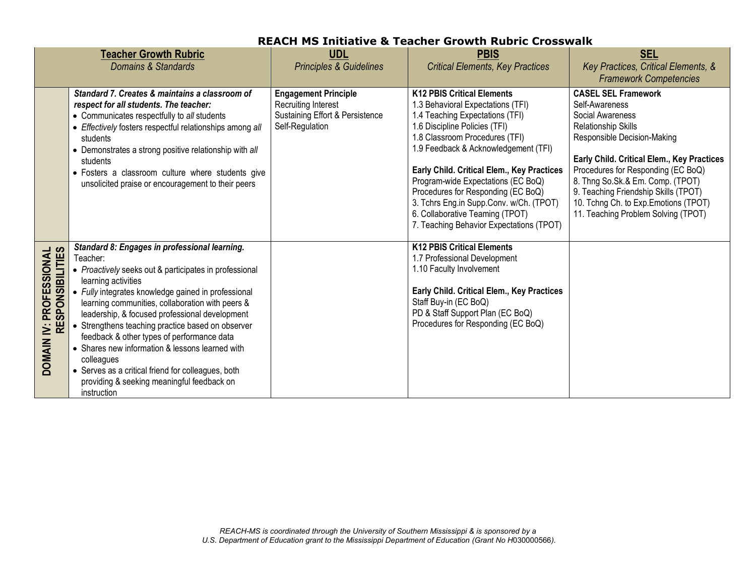|                                             | <b>Teacher Growth Rubric</b><br><b>Domains &amp; Standards</b>                                                                                                                                                                                                                                                                                                                                                                                                                                                                                                                                 | <b>UDL</b><br><b>Principles &amp; Guidelines</b>                                                                | <b>PBIS</b><br><b>Critical Elements, Key Practices</b>                                                                                                                                                                                                                                                                                                                                                                                                                   | <b>SEL</b><br>Key Practices, Critical Elements, &<br><b>Framework Competencies</b>                                                                                                                                                                                                                                                                                            |  |  |
|---------------------------------------------|------------------------------------------------------------------------------------------------------------------------------------------------------------------------------------------------------------------------------------------------------------------------------------------------------------------------------------------------------------------------------------------------------------------------------------------------------------------------------------------------------------------------------------------------------------------------------------------------|-----------------------------------------------------------------------------------------------------------------|--------------------------------------------------------------------------------------------------------------------------------------------------------------------------------------------------------------------------------------------------------------------------------------------------------------------------------------------------------------------------------------------------------------------------------------------------------------------------|-------------------------------------------------------------------------------------------------------------------------------------------------------------------------------------------------------------------------------------------------------------------------------------------------------------------------------------------------------------------------------|--|--|
|                                             | Standard 7. Creates & maintains a classroom of<br>respect for all students. The teacher:<br>• Communicates respectfully to all students<br>• Effectively fosters respectful relationships among all<br>students<br>• Demonstrates a strong positive relationship with all<br>students<br>• Fosters a classroom culture where students give<br>unsolicited praise or encouragement to their peers                                                                                                                                                                                               | <b>Engagement Principle</b><br><b>Recruiting Interest</b><br>Sustaining Effort & Persistence<br>Self-Regulation | <b>K12 PBIS Critical Elements</b><br>1.3 Behavioral Expectations (TFI)<br>1.4 Teaching Expectations (TFI)<br>1.6 Discipline Policies (TFI)<br>1.8 Classroom Procedures (TFI)<br>1.9 Feedback & Acknowledgement (TFI)<br>Early Child. Critical Elem., Key Practices<br>Program-wide Expectations (EC BoQ)<br>Procedures for Responding (EC BoQ)<br>3. Tchrs Eng.in Supp.Conv. w/Ch. (TPOT)<br>6. Collaborative Teaming (TPOT)<br>7. Teaching Behavior Expectations (TPOT) | <b>CASEL SEL Framework</b><br>Self-Awareness<br>Social Awareness<br><b>Relationship Skills</b><br>Responsible Decision-Making<br>Early Child. Critical Elem., Key Practices<br>Procedures for Responding (EC BoQ)<br>8. Thng So.Sk.& Em. Comp. (TPOT)<br>9. Teaching Friendship Skills (TPOT)<br>10. Tchng Ch. to Exp. Emotions (TPOT)<br>11. Teaching Problem Solving (TPOT) |  |  |
| DOMAIN IV: PROFESSIONAL<br>RESPONSIBILITIES | Standard 8: Engages in professional learning.<br>Teacher:<br>• Proactively seeks out & participates in professional<br>learning activities<br>• Fully integrates knowledge gained in professional<br>learning communities, collaboration with peers &<br>leadership, & focused professional development<br>• Strengthens teaching practice based on observer<br>feedback & other types of performance data<br>• Shares new information & lessons learned with<br>colleagues<br>• Serves as a critical friend for colleagues, both<br>providing & seeking meaningful feedback on<br>instruction |                                                                                                                 | <b>K12 PBIS Critical Elements</b><br>1.7 Professional Development<br>1.10 Faculty Involvement<br>Early Child. Critical Elem., Key Practices<br>Staff Buy-in (EC BoQ)<br>PD & Staff Support Plan (EC BoQ)<br>Procedures for Responding (EC BoQ)                                                                                                                                                                                                                           |                                                                                                                                                                                                                                                                                                                                                                               |  |  |